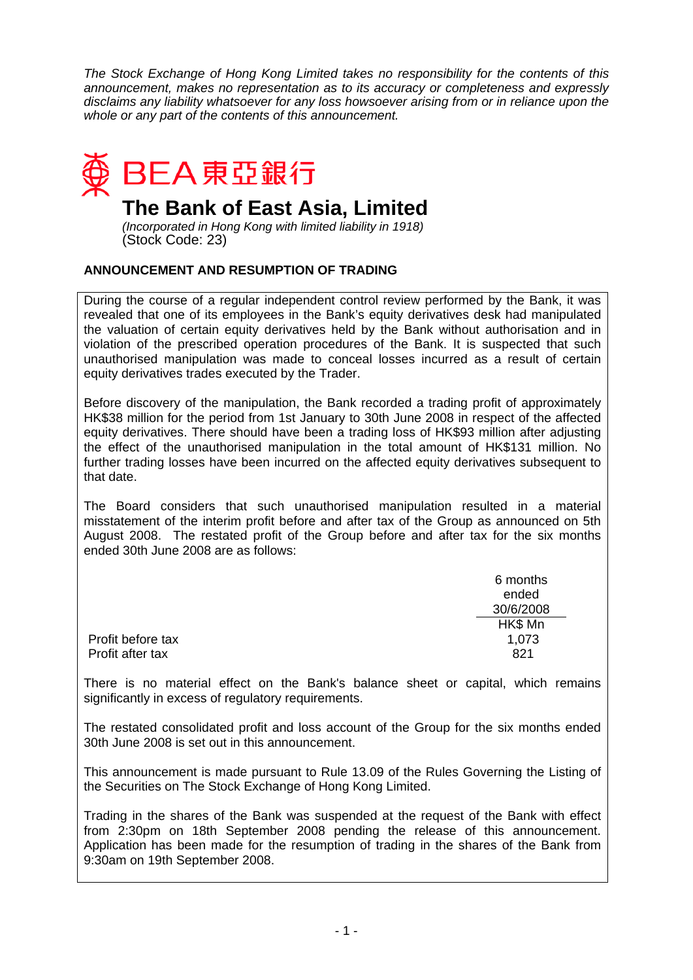*The Stock Exchange of Hong Kong Limited takes no responsibility for the contents of this announcement, makes no representation as to its accuracy or completeness and expressly disclaims any liability whatsoever for any loss howsoever arising from or in reliance upon the whole or any part of the contents of this announcement.* 



## **The Bank of East Asia, Limited**

*(Incorporated in Hong Kong with limited liability in 1918)*  (Stock Code: 23)

## **ANNOUNCEMENT AND RESUMPTION OF TRADING**

During the course of a regular independent control review performed by the Bank, it was revealed that one of its employees in the Bank's equity derivatives desk had manipulated the valuation of certain equity derivatives held by the Bank without authorisation and in violation of the prescribed operation procedures of the Bank. It is suspected that such unauthorised manipulation was made to conceal losses incurred as a result of certain equity derivatives trades executed by the Trader.

Before discovery of the manipulation, the Bank recorded a trading profit of approximately HK\$38 million for the period from 1st January to 30th June 2008 in respect of the affected equity derivatives. There should have been a trading loss of HK\$93 million after adjusting the effect of the unauthorised manipulation in the total amount of HK\$131 million. No further trading losses have been incurred on the affected equity derivatives subsequent to that date.

The Board considers that such unauthorised manipulation resulted in a material misstatement of the interim profit before and after tax of the Group as announced on 5th August 2008. The restated profit of the Group before and after tax for the six months ended 30th June 2008 are as follows:

|                   | 6 months<br>ended<br>30/6/2008 |
|-------------------|--------------------------------|
| Profit before tax | HK\$ Mn<br>1,073               |
| Profit after tax  | 821                            |

There is no material effect on the Bank's balance sheet or capital, which remains significantly in excess of regulatory requirements.

The restated consolidated profit and loss account of the Group for the six months ended 30th June 2008 is set out in this announcement.

This announcement is made pursuant to Rule 13.09 of the Rules Governing the Listing of the Securities on The Stock Exchange of Hong Kong Limited.

Trading in the shares of the Bank was suspended at the request of the Bank with effect from 2:30pm on 18th September 2008 pending the release of this announcement. Application has been made for the resumption of trading in the shares of the Bank from 9:30am on 19th September 2008.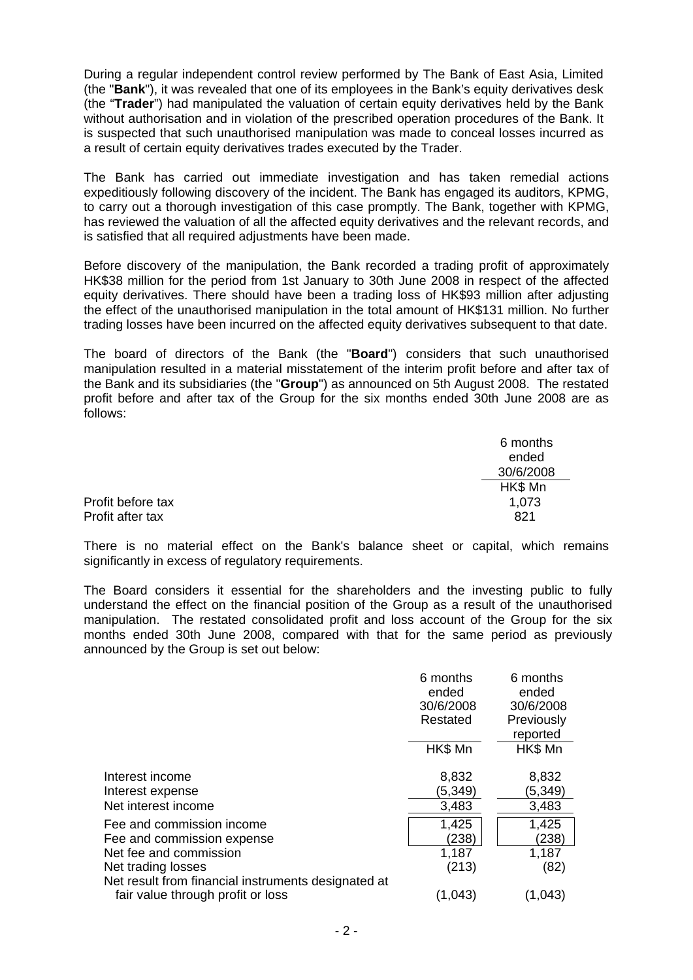During a regular independent control review performed by The Bank of East Asia, Limited (the "**Bank**"), it was revealed that one of its employees in the Bank's equity derivatives desk (the "**Trader**") had manipulated the valuation of certain equity derivatives held by the Bank without authorisation and in violation of the prescribed operation procedures of the Bank. It is suspected that such unauthorised manipulation was made to conceal losses incurred as a result of certain equity derivatives trades executed by the Trader.

The Bank has carried out immediate investigation and has taken remedial actions expeditiously following discovery of the incident. The Bank has engaged its auditors, KPMG, to carry out a thorough investigation of this case promptly. The Bank, together with KPMG, has reviewed the valuation of all the affected equity derivatives and the relevant records, and is satisfied that all required adjustments have been made.

Before discovery of the manipulation, the Bank recorded a trading profit of approximately HK\$38 million for the period from 1st January to 30th June 2008 in respect of the affected equity derivatives. There should have been a trading loss of HK\$93 million after adjusting the effect of the unauthorised manipulation in the total amount of HK\$131 million. No further trading losses have been incurred on the affected equity derivatives subsequent to that date.

The board of directors of the Bank (the "**Board**") considers that such unauthorised manipulation resulted in a material misstatement of the interim profit before and after tax of the Bank and its subsidiaries (the "**Group**") as announced on 5th August 2008. The restated profit before and after tax of the Group for the six months ended 30th June 2008 are as follows:

|                   | 6 months<br>ended |
|-------------------|-------------------|
|                   | 30/6/2008         |
|                   | HK\$ Mn           |
| Profit before tax | 1,073             |
| Profit after tax  | 821               |

There is no material effect on the Bank's balance sheet or capital, which remains significantly in excess of regulatory requirements.

The Board considers it essential for the shareholders and the investing public to fully understand the effect on the financial position of the Group as a result of the unauthorised manipulation. The restated consolidated profit and loss account of the Group for the six months ended 30th June 2008, compared with that for the same period as previously announced by the Group is set out below:

|                                                                                                                                                                | 6 months<br>ended<br>30/6/2008<br>Restated | 6 months<br>ended<br>30/6/2008<br>Previously |
|----------------------------------------------------------------------------------------------------------------------------------------------------------------|--------------------------------------------|----------------------------------------------|
|                                                                                                                                                                |                                            | reported                                     |
|                                                                                                                                                                | HK\$ Mn                                    | HK\$ Mn                                      |
| Interest income<br>Interest expense<br>Net interest income                                                                                                     | 8,832<br>(5,349)<br>3,483                  | 8,832<br>(5,349)<br>3,483                    |
| Fee and commission income<br>Fee and commission expense<br>Net fee and commission<br>Net trading losses<br>Net result from financial instruments designated at | 1,425<br>(238)<br>1,187<br>(213)           | 1,425<br>(238)<br>1,187<br>(82)              |
| fair value through profit or loss                                                                                                                              | (1,043)                                    | (1,043)                                      |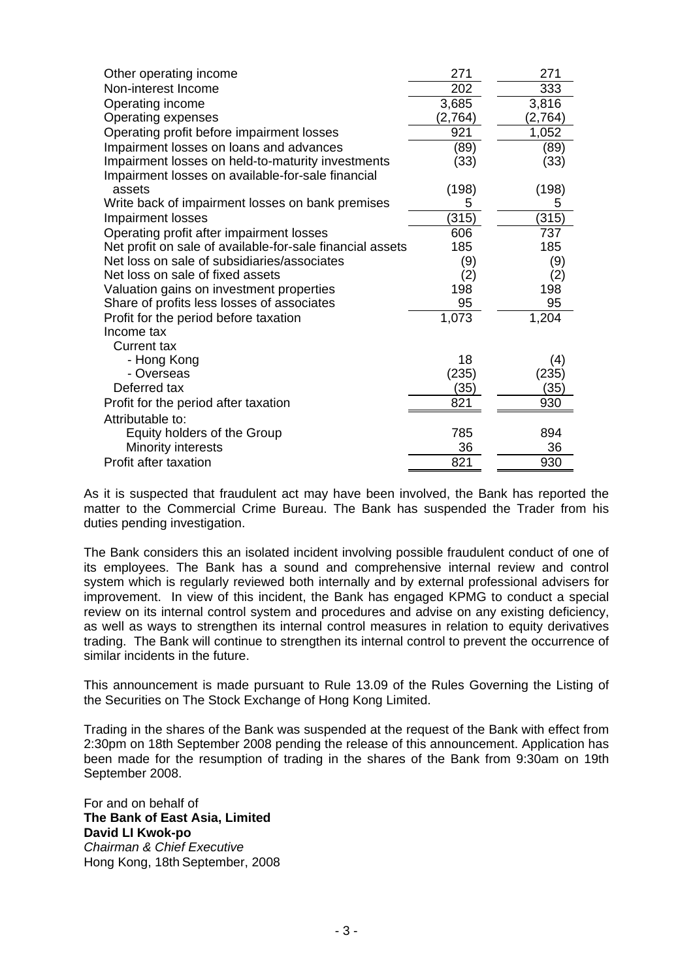| Other operating income                                    | 271     | 271     |
|-----------------------------------------------------------|---------|---------|
| Non-interest Income                                       | 202     | 333     |
| Operating income                                          | 3,685   | 3,816   |
| <b>Operating expenses</b>                                 | (2,764) | (2,764) |
| Operating profit before impairment losses                 | 921     | 1,052   |
| Impairment losses on loans and advances                   | (89)    | (89)    |
| Impairment losses on held-to-maturity investments         | (33)    | (33)    |
| Impairment losses on available-for-sale financial         |         |         |
| assets                                                    | (198)   | (198)   |
| Write back of impairment losses on bank premises          | 5       | 5       |
| <b>Impairment losses</b>                                  | (315)   | (315)   |
| Operating profit after impairment losses                  | 606     | 737     |
| Net profit on sale of available-for-sale financial assets | 185     | 185     |
| Net loss on sale of subsidiaries/associates               | (9)     | (9)     |
| Net loss on sale of fixed assets                          | (2)     | (2)     |
| Valuation gains on investment properties                  | 198     | 198     |
| Share of profits less losses of associates                | 95      | 95      |
| Profit for the period before taxation                     | 1,073   | 1,204   |
| Income tax                                                |         |         |
| <b>Current tax</b>                                        |         |         |
| - Hong Kong                                               | 18      | (4)     |
| - Overseas                                                | (235)   | (235)   |
| Deferred tax                                              | (35)    | (35)    |
| Profit for the period after taxation                      | 821     | 930     |
| Attributable to:                                          |         |         |
| Equity holders of the Group                               | 785     | 894     |
| Minority interests                                        | 36      | 36      |
| Profit after taxation                                     | 821     | 930     |
|                                                           |         |         |

As it is suspected that fraudulent act may have been involved, the Bank has reported the matter to the Commercial Crime Bureau. The Bank has suspended the Trader from his duties pending investigation.

The Bank considers this an isolated incident involving possible fraudulent conduct of one of its employees. The Bank has a sound and comprehensive internal review and control system which is regularly reviewed both internally and by external professional advisers for improvement. In view of this incident, the Bank has engaged KPMG to conduct a special review on its internal control system and procedures and advise on any existing deficiency, as well as ways to strengthen its internal control measures in relation to equity derivatives trading. The Bank will continue to strengthen its internal control to prevent the occurrence of similar incidents in the future.

This announcement is made pursuant to Rule 13.09 of the Rules Governing the Listing of the Securities on The Stock Exchange of Hong Kong Limited.

Trading in the shares of the Bank was suspended at the request of the Bank with effect from 2:30pm on 18th September 2008 pending the release of this announcement. Application has been made for the resumption of trading in the shares of the Bank from 9:30am on 19th September 2008.

For and on behalf of **The Bank of East Asia, Limited David LI Kwok-po**  *Chairman & Chief Executive*  Hong Kong, 18th September, 2008